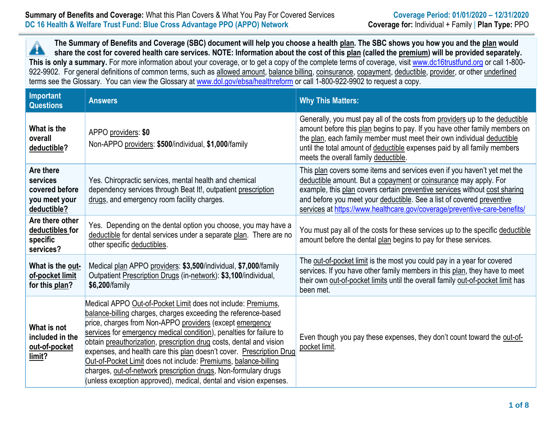## **Summary of Benefits and Coverage:** What this Plan Covers & What You Pay For Covered Services **Coverage Period: 01/01/2020 – 12/31/2020 DC 16 Health & Welfare Trust Fund: Blue Cross Advantage PPO (APPO) Network Coverage for:** Individual + Family | **Plan Type:** PPO

**The Summary of Benefits and Coverage (SBC) document will help you choose a health plan. The SBC shows you how you and the plan would** Â **share the cost for covered health care services. NOTE: Information about the cost of this plan (called the premium) will be provided separately.** This is only a summary. For more information about your coverage, or to get a copy of the complete terms of coverage, visit [www.dc16trustfund.org](http://www.dc16trustfund.org/) or call 1-800-922-9902. For general definitions of common terms, such as allowed amount, balance billing, coinsurance, copayment, deductible, provider, or other underlined terms see the Glossary. You can view the Glossary at [www.dol.gov/ebsa/healthreform](file:///C:/NRPortbl/EAST/JLH/www.dol.gov/ebsa/healthreform) or call 1-800-922-9902 to request a copy.

| Important<br><b>Questions</b>                                           | <b>Answers</b>                                                                                                                                                                                                                                                                                                                                                                                                                                                                                                                                                                                                              | <b>Why This Matters:</b>                                                                                                                                                                                                                                                                                                                                                         |
|-------------------------------------------------------------------------|-----------------------------------------------------------------------------------------------------------------------------------------------------------------------------------------------------------------------------------------------------------------------------------------------------------------------------------------------------------------------------------------------------------------------------------------------------------------------------------------------------------------------------------------------------------------------------------------------------------------------------|----------------------------------------------------------------------------------------------------------------------------------------------------------------------------------------------------------------------------------------------------------------------------------------------------------------------------------------------------------------------------------|
| What is the<br>overall<br>deductible?                                   | APPO providers: \$0<br>Non-APPO providers: \$500/individual, \$1,000/family                                                                                                                                                                                                                                                                                                                                                                                                                                                                                                                                                 | Generally, you must pay all of the costs from providers up to the deductible<br>amount before this plan begins to pay. If you have other family members on<br>the plan, each family member must meet their own individual deductible<br>until the total amount of deductible expenses paid by all family members<br>meets the overall family deductible.                         |
| Are there<br>services<br>covered before<br>you meet your<br>deductible? | Yes. Chiropractic services, mental health and chemical<br>dependency services through Beat It!, outpatient prescription<br>drugs, and emergency room facility charges.                                                                                                                                                                                                                                                                                                                                                                                                                                                      | This plan covers some items and services even if you haven't yet met the<br>deductible amount. But a copayment or coinsurance may apply. For<br>example, this plan covers certain preventive services without cost sharing<br>and before you meet your deductible. See a list of covered preventive<br>services at https://www.healthcare.gov/coverage/preventive-care-benefits/ |
| Are there other<br>deductibles for<br>specific<br>services?             | Yes. Depending on the dental option you choose, you may have a<br>deductible for dental services under a separate plan. There are no<br>other specific deductibles.                                                                                                                                                                                                                                                                                                                                                                                                                                                         | You must pay all of the costs for these services up to the specific deductible<br>amount before the dental plan begins to pay for these services.                                                                                                                                                                                                                                |
| What is the out-<br>of-pocket limit<br>for this plan?                   | Medical plan APPO providers: \$3,500/individual, \$7,000/family<br>Outpatient Prescription Drugs (in-network): \$3,100/individual,<br>\$6,200/family                                                                                                                                                                                                                                                                                                                                                                                                                                                                        | The out-of-pocket limit is the most you could pay in a year for covered<br>services. If you have other family members in this plan, they have to meet<br>their own out-of-pocket limits until the overall family out-of-pocket limit has<br>been met.                                                                                                                            |
| What is not<br>included in the<br>out-of-pocket<br>limit?               | Medical APPO Out-of-Pocket Limit does not include: Premiums,<br>balance-billing charges, charges exceeding the reference-based<br>price, charges from Non-APPO providers (except emergency<br>services for emergency medical condition), penalties for failure to<br>obtain preauthorization, prescription drug costs, dental and vision<br>expenses, and health care this plan doesn't cover. Prescription Drug<br>Out-of-Pocket Limit does not include: Premiums, balance-billing<br>charges, out-of-network prescription drugs, Non-formulary drugs<br>(unless exception approved), medical, dental and vision expenses. | Even though you pay these expenses, they don't count toward the out-of-<br>pocket limit.                                                                                                                                                                                                                                                                                         |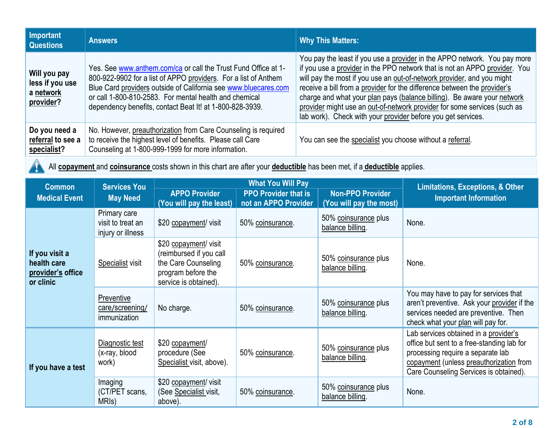| Important<br><b>Questions</b>                             | <b>Answers</b>                                                                                                                                                                                                                                                                                                             | <b>Why This Matters:</b>                                                                                                                                                                                                                                                                                                                                                                                                                                                                                                             |
|-----------------------------------------------------------|----------------------------------------------------------------------------------------------------------------------------------------------------------------------------------------------------------------------------------------------------------------------------------------------------------------------------|--------------------------------------------------------------------------------------------------------------------------------------------------------------------------------------------------------------------------------------------------------------------------------------------------------------------------------------------------------------------------------------------------------------------------------------------------------------------------------------------------------------------------------------|
| Will you pay<br>less if you use<br>a network<br>provider? | Yes. See www.anthem.com/ca or call the Trust Fund Office at 1-<br>800-922-9902 for a list of APPO providers. For a list of Anthem<br>Blue Card providers outside of California see www.bluecares.com<br>or call 1-800-810-2583. For mental health and chemical<br>dependency benefits, contact Beat It! at 1-800-828-3939. | You pay the least if you use a provider in the APPO network. You pay more<br>if you use a provider in the PPO network that is not an APPO provider. You<br>will pay the most if you use an out-of-network provider, and you might<br>receive a bill from a provider for the difference between the provider's<br>charge and what your plan pays (balance billing). Be aware your network<br>provider might use an out-of-network provider for some services (such as<br>lab work). Check with your provider before you get services. |
| Do you need a<br>referral to see a<br>specialist?         | No. However, preauthorization from Care Counseling is required<br>to receive the highest level of benefits. Please call Care<br>Counseling at 1-800-999-1999 for more information.                                                                                                                                         | You can see the specialist you choose without a referral.                                                                                                                                                                                                                                                                                                                                                                                                                                                                            |

All **copayment** and **coinsurance** costs shown in this chart are after your **deductible** has been met, if a **deductible** applies.

 $\blacktriangle$ 

| <b>Common</b>                                                   | <b>Services You</b>                                    |                                                                                                                        | <b>What You Will Pay</b>                                                                                  | <b>Limitations, Exceptions, &amp; Other</b> |                                                                                                                                                                                                               |  |
|-----------------------------------------------------------------|--------------------------------------------------------|------------------------------------------------------------------------------------------------------------------------|-----------------------------------------------------------------------------------------------------------|---------------------------------------------|---------------------------------------------------------------------------------------------------------------------------------------------------------------------------------------------------------------|--|
| <b>Medical Event</b>                                            | <b>May Need</b>                                        | <b>APPO Provider</b><br>(You will pay the least)                                                                       | <b>Non-PPO Provider</b><br><b>PPO Provider that is</b><br>not an APPO Provider<br>(You will pay the most) |                                             | <b>Important Information</b>                                                                                                                                                                                  |  |
|                                                                 | Primary care<br>visit to treat an<br>injury or illness | \$20 copayment/ visit                                                                                                  | 50% coinsurance.                                                                                          | 50% coinsurance plus<br>balance billing.    | None.                                                                                                                                                                                                         |  |
| If you visit a<br>health care<br>provider's office<br>or clinic | Specialist visit                                       | \$20 copayment/ visit<br>(reimbursed if you call<br>the Care Counseling<br>program before the<br>service is obtained). | 50% coinsurance.                                                                                          | 50% coinsurance plus<br>balance billing.    | None.                                                                                                                                                                                                         |  |
|                                                                 | Preventive<br>care/screening/<br>immunization          | No charge.                                                                                                             | 50% coinsurance.                                                                                          | 50% coinsurance plus<br>balance billing.    | You may have to pay for services that<br>aren't preventive. Ask your provider if the<br>services needed are preventive. Then<br>check what your plan will pay for.                                            |  |
| If you have a test                                              | Diagnostic test<br>(x-ray, blood<br>work)              | \$20 copayment/<br>procedure (See<br>Specialist visit, above).                                                         | 50% coinsurance.                                                                                          | 50% coinsurance plus<br>balance billing.    | Lab services obtained in a provider's<br>office but sent to a free-standing lab for<br>processing require a separate lab<br>copayment (unless preauthorization from<br>Care Counseling Services is obtained). |  |
|                                                                 | Imaging<br>(CT/PET scans,<br>MRI <sub>s</sub> )        | \$20 copayment/ visit<br>(See Specialist visit,<br>above).                                                             | 50% coinsurance.                                                                                          | 50% coinsurance plus<br>balance billing.    | None.                                                                                                                                                                                                         |  |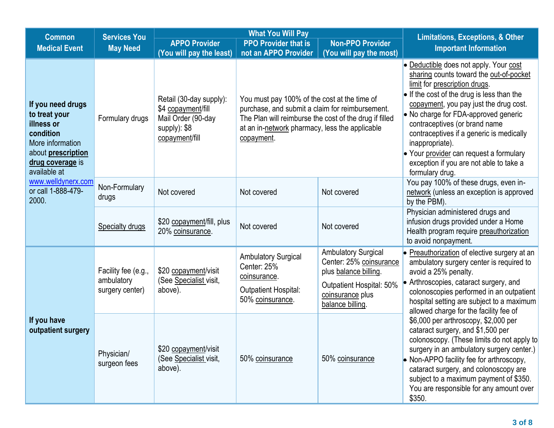| <b>Common</b>                                                                                                                               | <b>Services You</b>                                  |                                                                                                       | <b>What You Will Pay</b>                                                                                                                                                                                                  | <b>Limitations, Exceptions, &amp; Other</b>                                                                                                        |                                                                                                                                                                                                                                                                                                                                                                                                                                                             |  |
|---------------------------------------------------------------------------------------------------------------------------------------------|------------------------------------------------------|-------------------------------------------------------------------------------------------------------|---------------------------------------------------------------------------------------------------------------------------------------------------------------------------------------------------------------------------|----------------------------------------------------------------------------------------------------------------------------------------------------|-------------------------------------------------------------------------------------------------------------------------------------------------------------------------------------------------------------------------------------------------------------------------------------------------------------------------------------------------------------------------------------------------------------------------------------------------------------|--|
| <b>Medical Event</b>                                                                                                                        | <b>May Need</b>                                      | <b>APPO Provider</b>                                                                                  | <b>PPO Provider that is</b>                                                                                                                                                                                               | <b>Non-PPO Provider</b>                                                                                                                            | <b>Important Information</b>                                                                                                                                                                                                                                                                                                                                                                                                                                |  |
|                                                                                                                                             |                                                      | (You will pay the least)                                                                              | not an APPO Provider                                                                                                                                                                                                      | (You will pay the most)                                                                                                                            |                                                                                                                                                                                                                                                                                                                                                                                                                                                             |  |
| If you need drugs<br>to treat your<br>illness or<br>condition<br>More information<br>about prescription<br>drug coverage is<br>available at | Formulary drugs                                      | Retail (30-day supply):<br>\$4 copayment/fill<br>Mail Order (90-day<br>supply): \$8<br>copayment/fill | You must pay 100% of the cost at the time of<br>purchase, and submit a claim for reimbursement.<br>The Plan will reimburse the cost of the drug if filled<br>at an in-network pharmacy, less the applicable<br>copayment. |                                                                                                                                                    | • Deductible does not apply. Your cost<br>sharing counts toward the out-of-pocket<br>limit for prescription drugs.<br>• If the cost of the drug is less than the<br>copayment, you pay just the drug cost.<br>• No charge for FDA-approved generic<br>contraceptives (or brand name<br>contraceptives if a generic is medically<br>inappropriate).<br>• Your provider can request a formulary<br>exception if you are not able to take a<br>formulary drug. |  |
| www.welldynerx.com<br>or call 1-888-479-<br>2000.                                                                                           | Non-Formulary<br>drugs                               | Not covered                                                                                           | Not covered                                                                                                                                                                                                               | Not covered                                                                                                                                        | You pay 100% of these drugs, even in-<br>network (unless an exception is approved<br>by the PBM).                                                                                                                                                                                                                                                                                                                                                           |  |
|                                                                                                                                             | <b>Specialty drugs</b>                               | \$20 copayment/fill, plus<br>20% coinsurance.                                                         | Not covered                                                                                                                                                                                                               | Not covered                                                                                                                                        | Physician administered drugs and<br>infusion drugs provided under a Home<br>Health program require preauthorization<br>to avoid nonpayment.                                                                                                                                                                                                                                                                                                                 |  |
|                                                                                                                                             | Facility fee (e.g.,<br>ambulatory<br>surgery center) | \$20 copayment/visit<br>(See Specialist visit,<br>above).                                             | <b>Ambulatory Surgical</b><br>Center: 25%<br>coinsurance.<br>Outpatient Hospital:<br>50% coinsurance.                                                                                                                     | <b>Ambulatory Surgical</b><br>Center: 25% coinsurance<br>plus balance billing.<br>Outpatient Hospital: 50%<br>coinsurance plus<br>balance billing. | • Preauthorization of elective surgery at an<br>ambulatory surgery center is required to<br>avoid a 25% penalty.<br>• Arthroscopies, cataract surgery, and<br>colonoscopies performed in an outpatient<br>hospital setting are subject to a maximum<br>allowed charge for the facility fee of                                                                                                                                                               |  |
| If you have<br>outpatient surgery                                                                                                           | Physician/<br>surgeon fees                           | \$20 copayment/visit<br>(See Specialist visit,<br>above).                                             | 50% coinsurance                                                                                                                                                                                                           | 50% coinsurance                                                                                                                                    | \$6,000 per arthroscopy, \$2,000 per<br>cataract surgery, and \$1,500 per<br>colonoscopy. (These limits do not apply to<br>surgery in an ambulatory surgery center.)<br>• Non-APPO facility fee for arthroscopy,<br>cataract surgery, and colonoscopy are<br>subject to a maximum payment of \$350.<br>You are responsible for any amount over<br>\$350.                                                                                                    |  |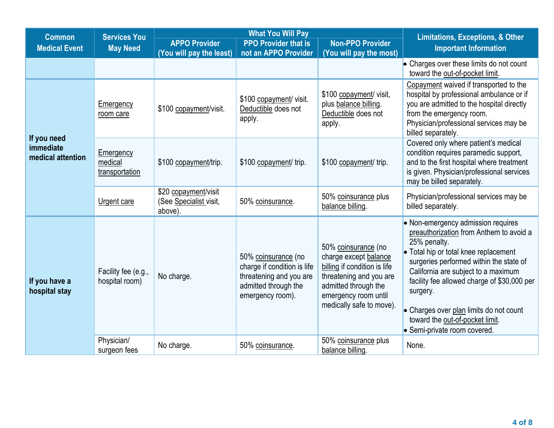| <b>Common</b>                                 | <b>Services You</b>                              |                                                           | <b>What You Will Pay</b>                                                                                                  | <b>Limitations, Exceptions, &amp; Other</b>                                                                                                                                         |                                                                                                                                                                                                                                                                                                                                                                                                   |  |
|-----------------------------------------------|--------------------------------------------------|-----------------------------------------------------------|---------------------------------------------------------------------------------------------------------------------------|-------------------------------------------------------------------------------------------------------------------------------------------------------------------------------------|---------------------------------------------------------------------------------------------------------------------------------------------------------------------------------------------------------------------------------------------------------------------------------------------------------------------------------------------------------------------------------------------------|--|
| <b>Medical Event</b>                          | <b>May Need</b>                                  | <b>APPO Provider</b>                                      | <b>PPO Provider that is</b>                                                                                               | <b>Non-PPO Provider</b>                                                                                                                                                             | <b>Important Information</b>                                                                                                                                                                                                                                                                                                                                                                      |  |
|                                               |                                                  | (You will pay the least)                                  | not an APPO Provider                                                                                                      | (You will pay the most)                                                                                                                                                             | • Charges over these limits do not count                                                                                                                                                                                                                                                                                                                                                          |  |
|                                               |                                                  |                                                           |                                                                                                                           |                                                                                                                                                                                     | toward the out-of-pocket limit.                                                                                                                                                                                                                                                                                                                                                                   |  |
|                                               | Emergency<br>\$100 copayment/visit.<br>room care |                                                           | \$100 copayment/ visit.<br>Deductible does not<br>apply.                                                                  | \$100 copayment/ visit,<br>plus balance billing.<br>Deductible does not<br>apply.                                                                                                   | Copayment waived if transported to the<br>hospital by professional ambulance or if<br>you are admitted to the hospital directly<br>from the emergency room.<br>Physician/professional services may be<br>billed separately.                                                                                                                                                                       |  |
| If you need<br>immediate<br>medical attention | Emergency<br>medical<br>transportation           | \$100 copayment/trip.                                     | \$100 copayment/ trip.                                                                                                    | \$100 copayment/ trip.                                                                                                                                                              | Covered only where patient's medical<br>condition requires paramedic support,<br>and to the first hospital where treatment<br>is given. Physician/professional services<br>may be billed separately.                                                                                                                                                                                              |  |
|                                               | Urgent care                                      | \$20 copayment/visit<br>(See Specialist visit,<br>above). | 50% coinsurance.                                                                                                          | 50% coinsurance plus<br>balance billing.                                                                                                                                            | Physician/professional services may be<br>billed separately.                                                                                                                                                                                                                                                                                                                                      |  |
| If you have a<br>hospital stay                | Facility fee (e.g.,<br>hospital room)            | No charge.                                                | 50% coinsurance (no<br>charge if condition is life<br>threatening and you are<br>admitted through the<br>emergency room). | 50% coinsurance (no<br>charge except balance<br>billing if condition is life<br>threatening and you are<br>admitted through the<br>emergency room until<br>medically safe to move). | • Non-emergency admission requires<br>preauthorization from Anthem to avoid a<br>25% penalty.<br>• Total hip or total knee replacement<br>surgeries performed within the state of<br>California are subject to a maximum<br>facility fee allowed charge of \$30,000 per<br>surgery.<br>• Charges over plan limits do not count<br>toward the out-of-pocket limit.<br>• Semi-private room covered. |  |
|                                               | Physician/<br>surgeon fees                       | No charge.                                                | 50% coinsurance.                                                                                                          | 50% coinsurance plus<br>balance billing.                                                                                                                                            | None.                                                                                                                                                                                                                                                                                                                                                                                             |  |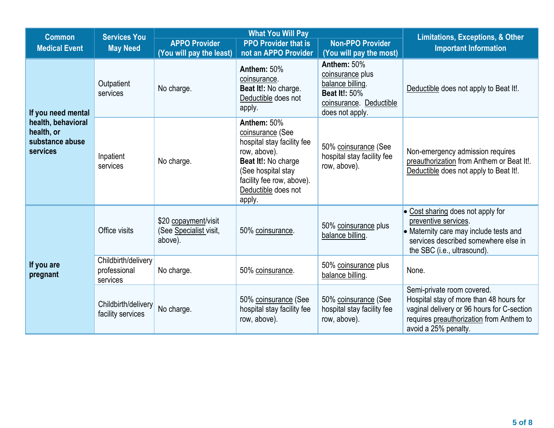| <b>Common</b>                                                   | <b>Services You</b>                             |                                                           | <b>What You Will Pay</b>                                                                                                                                                                 | <b>Limitations, Exceptions, &amp; Other</b>                                                                               |                                                                                                                                                                                         |
|-----------------------------------------------------------------|-------------------------------------------------|-----------------------------------------------------------|------------------------------------------------------------------------------------------------------------------------------------------------------------------------------------------|---------------------------------------------------------------------------------------------------------------------------|-----------------------------------------------------------------------------------------------------------------------------------------------------------------------------------------|
| <b>Medical Event</b>                                            | <b>May Need</b>                                 | <b>APPO Provider</b><br><b>PPO Provider that is</b>       |                                                                                                                                                                                          | <b>Non-PPO Provider</b>                                                                                                   | <b>Important Information</b>                                                                                                                                                            |
|                                                                 |                                                 | (You will pay the least)                                  | not an APPO Provider                                                                                                                                                                     | (You will pay the most)                                                                                                   |                                                                                                                                                                                         |
| If you need mental                                              | Outpatient<br>services                          | No charge.                                                | Anthem: 50%<br>coinsurance.<br>Beat It!: No charge.<br>Deductible does not<br>apply.                                                                                                     | Anthem: 50%<br>coinsurance plus<br>balance billing.<br><b>Beat It!: 50%</b><br>coinsurance. Deductible<br>does not apply. | Deductible does not apply to Beat It!.                                                                                                                                                  |
| health, behavioral<br>health, or<br>substance abuse<br>services | Inpatient<br>services                           | No charge.                                                | Anthem: 50%<br>coinsurance (See<br>hospital stay facility fee<br>row, above).<br>Beat It!: No charge<br>(See hospital stay<br>facility fee row, above).<br>Deductible does not<br>apply. | 50% coinsurance (See<br>hospital stay facility fee<br>row, above).                                                        | Non-emergency admission requires<br>preauthorization from Anthem or Beat It!.<br>Deductible does not apply to Beat It!.                                                                 |
|                                                                 | Office visits                                   | \$20 copayment/visit<br>(See Specialist visit,<br>above). | 50% coinsurance.                                                                                                                                                                         | 50% coinsurance plus<br>balance billing.                                                                                  | $\bullet$ Cost sharing does not apply for<br>preventive services.<br>• Maternity care may include tests and<br>services described somewhere else in<br>the SBC (i.e., ultrasound).      |
| If you are<br>pregnant                                          | Childbirth/delivery<br>professional<br>services | No charge.                                                | 50% coinsurance.                                                                                                                                                                         | 50% coinsurance plus<br>balance billing.                                                                                  | None.                                                                                                                                                                                   |
|                                                                 | Childbirth/delivery<br>facility services        | No charge.                                                | 50% coinsurance (See<br>hospital stay facility fee<br>row, above).                                                                                                                       | 50% coinsurance (See<br>hospital stay facility fee<br>row, above).                                                        | Semi-private room covered.<br>Hospital stay of more than 48 hours for<br>vaginal delivery or 96 hours for C-section<br>requires preauthorization from Anthem to<br>avoid a 25% penalty. |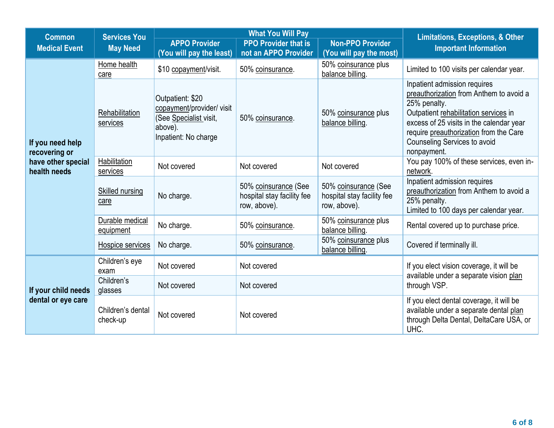| <b>Common</b>                      | <b>Services You</b>             |                                                                                                            | <b>What You Will Pay</b>                                           | <b>Limitations, Exceptions, &amp; Other</b>                        |                                                                                                                                                                                                                                                                              |
|------------------------------------|---------------------------------|------------------------------------------------------------------------------------------------------------|--------------------------------------------------------------------|--------------------------------------------------------------------|------------------------------------------------------------------------------------------------------------------------------------------------------------------------------------------------------------------------------------------------------------------------------|
| <b>Medical Event</b>               | <b>May Need</b>                 | <b>APPO Provider</b><br>(You will pay the least)                                                           | <b>PPO Provider that is</b><br>not an APPO Provider                | <b>Non-PPO Provider</b><br>(You will pay the most)                 | <b>Important Information</b>                                                                                                                                                                                                                                                 |
|                                    | Home health<br>care             | \$10 copayment/visit.                                                                                      | 50% coinsurance.                                                   | 50% coinsurance plus<br>balance billing.                           | Limited to 100 visits per calendar year.                                                                                                                                                                                                                                     |
| If you need help<br>recovering or  | Rehabilitation<br>services      | Outpatient: \$20<br>copayment/provider/ visit<br>(See Specialist visit,<br>above).<br>Inpatient: No charge | 50% coinsurance.                                                   | 50% coinsurance plus<br>balance billing.                           | Inpatient admission requires<br>preauthorization from Anthem to avoid a<br>25% penalty.<br>Outpatient rehabilitation services in<br>excess of 25 visits in the calendar year<br>require preauthorization from the Care<br><b>Counseling Services to avoid</b><br>nonpayment. |
| have other special<br>health needs | <b>Habilitation</b><br>services | Not covered                                                                                                | Not covered                                                        | Not covered                                                        | You pay 100% of these services, even in-<br>network.                                                                                                                                                                                                                         |
|                                    | Skilled nursing<br>care         | No charge.                                                                                                 | 50% coinsurance (See<br>hospital stay facility fee<br>row, above). | 50% coinsurance (See<br>hospital stay facility fee<br>row, above). | Inpatient admission requires<br>preauthorization from Anthem to avoid a<br>25% penalty.<br>Limited to 100 days per calendar year.                                                                                                                                            |
|                                    | Durable medical<br>equipment    | No charge.                                                                                                 | 50% coinsurance.                                                   | 50% coinsurance plus<br>balance billing.                           | Rental covered up to purchase price.                                                                                                                                                                                                                                         |
|                                    | Hospice services                | No charge.                                                                                                 | 50% coinsurance.                                                   | 50% coinsurance plus<br>balance billing.                           | Covered if terminally ill.                                                                                                                                                                                                                                                   |
|                                    | Children's eye<br>exam          | Not covered                                                                                                | Not covered                                                        |                                                                    | If you elect vision coverage, it will be<br>available under a separate vision plan                                                                                                                                                                                           |
| If your child needs                | Children's<br>glasses           | Not covered                                                                                                | Not covered                                                        |                                                                    | through VSP.                                                                                                                                                                                                                                                                 |
| dental or eye care                 | Children's dental<br>check-up   | Not covered                                                                                                | Not covered                                                        |                                                                    | If you elect dental coverage, it will be<br>available under a separate dental plan<br>through Delta Dental, DeltaCare USA, or<br>UHC.                                                                                                                                        |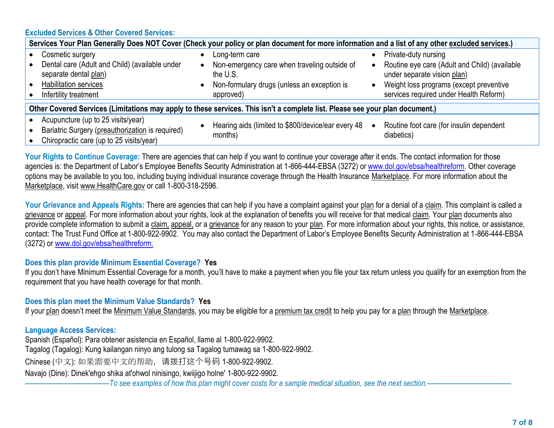## **Excluded Services & Other Covered Services:**

| Services Your Plan Generally Does NOT Cover (Check your policy or plan document for more information and a list of any other excluded services.)     |  |                                                                                                                                        |  |                                                                                                                                                                                           |  |  |
|------------------------------------------------------------------------------------------------------------------------------------------------------|--|----------------------------------------------------------------------------------------------------------------------------------------|--|-------------------------------------------------------------------------------------------------------------------------------------------------------------------------------------------|--|--|
| Cosmetic surgery<br>Dental care (Adult and Child) (available under<br>separate dental plan)<br><b>Habilitation services</b><br>Infertility treatment |  | Long-term care<br>Non-emergency care when traveling outside of<br>the U.S.<br>Non-formulary drugs (unless an exception is<br>approved) |  | Private-duty nursing<br>Routine eye care (Adult and Child) (available<br>under separate vision plan)<br>Weight loss programs (except preventive<br>services required under Health Reform) |  |  |
| Other Covered Services (Limitations may apply to these services. This isn't a complete list. Please see your plan document.)                         |  |                                                                                                                                        |  |                                                                                                                                                                                           |  |  |
| Acupuncture (up to 25 visits/year)<br>Bariatric Surgery (preauthorization is required)<br>$O_{\text{binomial}}(t)$ and $I_{\text{binomial}}(t)$      |  | Hearing aids (limited to \$800/device/ear every 48<br>months)                                                                          |  | Routine foot care (for insulin dependent<br>diabetics)                                                                                                                                    |  |  |

• Chiropractic care (up to 25 visits/year)

Your Rights to Continue Coverage: There are agencies that can help if you want to continue your coverage after it ends. The contact information for those agencies is: the Department of Labor's Employee Benefits Security Administration at 1-866-444-EBSA (3272) or [www.dol.gov/ebsa/healthreform.](file:///C:/NRPortbl/EAST/JLH/www.dol.gov/ebsa/healthreform) Other coverage options may be available to you too, including buying individual insurance coverage through the Health Insurance Marketplace. For more information about the Marketplace, visit www.HealthCare.gov or call 1-800-318-2596.

Your Grievance and Appeals Rights: There are agencies that can help if you have a complaint against your plan for a denial of a claim. This complaint is called a grievance or appeal. For more information about your rights, look at the explanation of benefits you will receive for that medical claim. Your plan documents also provide complete information to submit a claim, appeal, or a grievance for any reason to your plan. For more information about your rights, this notice, or assistance, contact: The Trust Fund Office at 1-800-922-9902. You may also contact the Department of Labor's Employee Benefits Security Administration at 1-866-444-EBSA (3272) or [www.dol.gov/ebsa/healthreform.](file:///C:/NRPortbl/EAST/JLH/www.dol.gov/ebsa/healthreform)

## **Does this plan provide Minimum Essential Coverage? Yes**

If you don't have Minimum Essential Coverage for a month, you'll have to make a payment when you file your tax return unless you qualify for an exemption from the requirement that you have health coverage for that month.

**Does this plan meet the Minimum Value Standards? Yes**

If your plan doesn't meet the Minimum Value Standards, you may be eligible for a premium tax credit to help you pay for a plan through the Marketplace.

## **Language Access Services:**

Spanish (Español): Para obtener asistencia en Español, llame al 1-800-922-9902. Tagalog (Tagalog): Kung kailangan ninyo ang tulong sa Tagalog tumawag sa 1-800-922-9902. Chinese (中文): 如果需要中文的帮助,请拨打这个号码 1-800-922-9902. Navajo (Dine): Dinek'ehgo shika at'ohwol ninisingo, kwiijigo holne' 1-800-922-9902.